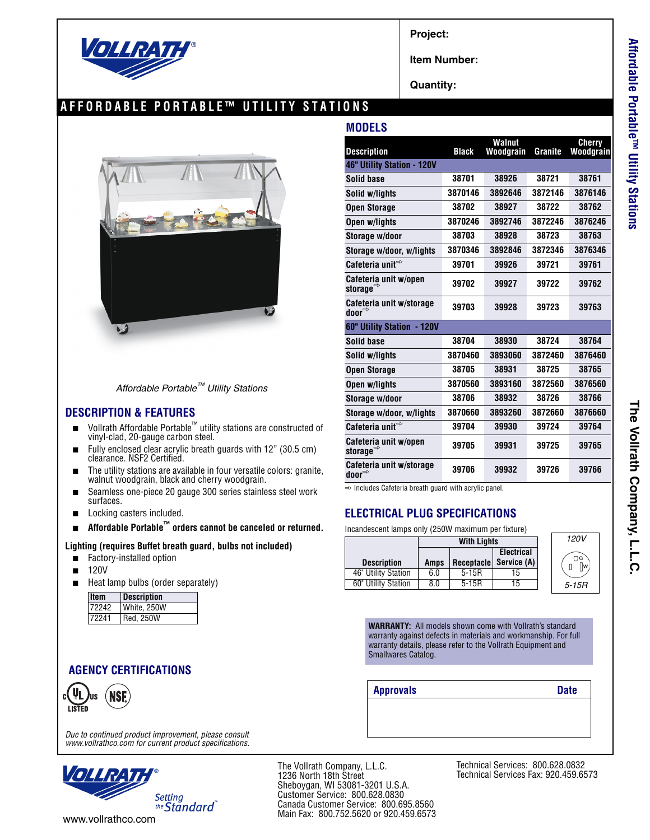

**Project:**

**Item Number:**

**Quantity:**

**MODELS**

### **AFFORDABLE PORTABLE™ UTILITY STATIONS**



| Affordable Portable™ Utility Stations |  |
|---------------------------------------|--|
|---------------------------------------|--|

#### **DESCRIPTION & FEATURES**

- Vollrath Affordable Portable<sup>™</sup> utility stations are constructed of vinyl-clad, 20-gauge carbon steel.
- Fully enclosed clear acrylic breath guards with 12" (30.5 cm) clearance. NSF2 Certified.
- The utility stations are available in four versatile colors: granite, walnut woodgrain, black and cherry woodgrain.
- Seamless one-piece 20 gauge 300 series stainless steel work surfaces.
- Locking casters included.
- **Affordable Portable™ orders cannot be canceled or returned.**

#### **Lighting (requires Buffet breath guard, bulbs not included)**

- Factory-installed option
- 120V
- Heat lamp bulbs (order separately)

| <b>Item</b> | <b>Description</b> |
|-------------|--------------------|
| 72242       | White, 250W        |
| 72241       | <b>Red. 250W</b>   |

### **AGENCY CERTIFICATIONS**



*Due to continued product improvement, please consult www.vollrathco.com for current product specifications.*



The Vollrath Company, L.L.C. 1236 North 18th Street Sheboygan, WI 53081-3201 U.S.A. Customer Service: 800.628.0830 Canada Customer Service: 800.695.8560 Main Fax: 800.752.5620 or 920.459.6573

| <b>Description</b>                                | <b>Black</b> | Walnut<br>Woodgrain | <b>Granite</b> | Cherry<br>Woodgrain |  |
|---------------------------------------------------|--------------|---------------------|----------------|---------------------|--|
| 46" Utility Station - 120V                        |              |                     |                |                     |  |
| Solid base                                        | 38701        | 38926               | 38721          | 38761               |  |
|                                                   |              |                     |                |                     |  |
| Solid w/lights                                    | 3870146      | 3892646             | 3872146        | 3876146             |  |
| <b>Open Storage</b>                               | 38702        | 38927               | 38722          | 38762               |  |
| Open w/liahts                                     | 3870246      | 3892746             | 3872246        | 3876246             |  |
| Storage w/door                                    | 38703        | 38928               | 38723          | 38763               |  |
| Storage w/door, w/lights                          | 3870346      | 3892846             | 3872346        | 3876346             |  |
| Cafeteria unit $\Rightarrow$                      | 39701        | 39926               | 39721          | 39761               |  |
| Cafeteria unit w/open<br>storage $^{\Rightarrow}$ | 39702        | 39927               | 39722          | 39762               |  |
| Cafeteria unit w/storage<br>door $\Rightarrow$    | 39703        | 39928               | 39723          | 39763               |  |
| 60" Utility Station - 120V                        |              |                     |                |                     |  |
| Solid base                                        | 38704        | 38930               | 38724          | 38764               |  |
| Solid w/lights                                    | 3870460      | 3893060             | 3872460        | 3876460             |  |
| <b>Open Storage</b>                               | 38705        | 38931               | 38725          | 38765               |  |
| Open w/lights                                     | 3870560      | 3893160             | 3872560        | 3876560             |  |
| Storage w/door                                    | 38706        | 38932               | 38726          | 38766               |  |
| Storage w/door, w/lights                          | 3870660      | 3893260             | 3872660        | 3876660             |  |
| Cafeteria unit $\Rightarrow$                      | 39704        | 39930               | 39724          | 39764               |  |
| Cafeteria unit w/open<br>storage $\Rightarrow$    | 39705        | 39931               | 39725          | 39765               |  |
| Cafeteria unit w/storage<br>door $\Rightarrow$    | 39706        | 39932               | 39726          | 39766               |  |
|                                                   |              |                     |                |                     |  |

 $\Rightarrow$  Includes Cafeteria breath guard with acrylic panel.

## **ELECTRICAL PLUG SPECIFICATIONS**

Incandescent lamps only (250W maximum per fixture)

|                     | <b>With Lights</b> |           |                        | 120V     |
|---------------------|--------------------|-----------|------------------------|----------|
|                     |                    |           | <b>Electrical</b>      | $\Box$ G |
| <b>Description</b>  | Amps               |           | Receptacle Service (A) | Пw.      |
| 46" Utility Station | 6.0                | $5 - 15R$ | 15                     |          |
| 60" Utility Station | 8.0                | $5-15R$   | 15                     | $5-15R$  |

**WARRANTY:** All models shown come with Vollrath's standard warranty against defects in materials and workmanship. For full warranty details, please refer to the Vollrath Equipment and Smallwares Catalog.

**Approvals Date**

Technical Services: 800.628.0832 Technical Services Fax: 920.459.6573

**Cherry**